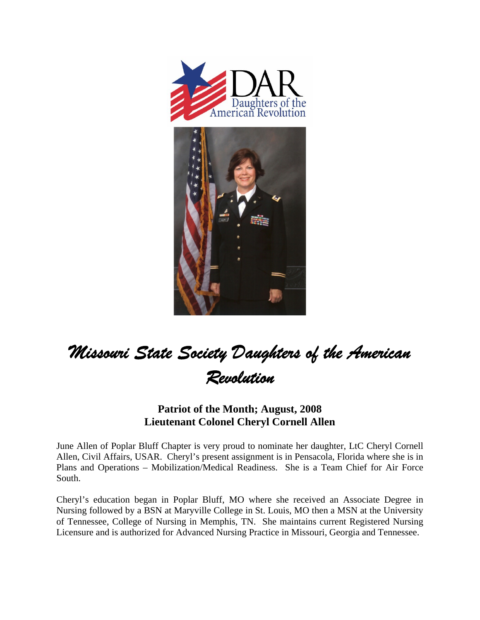

## *Missouri State Society Daughters of the American Revolution*

## **Patriot of the Month; August, 2008 Lieutenant Colonel Cheryl Cornell Allen**

June Allen of Poplar Bluff Chapter is very proud to nominate her daughter, LtC Cheryl Cornell Allen, Civil Affairs, USAR. Cheryl's present assignment is in Pensacola, Florida where she is in Plans and Operations – Mobilization/Medical Readiness. She is a Team Chief for Air Force South.

Cheryl's education began in Poplar Bluff, MO where she received an Associate Degree in Nursing followed by a BSN at Maryville College in St. Louis, MO then a MSN at the University of Tennessee, College of Nursing in Memphis, TN. She maintains current Registered Nursing Licensure and is authorized for Advanced Nursing Practice in Missouri, Georgia and Tennessee.